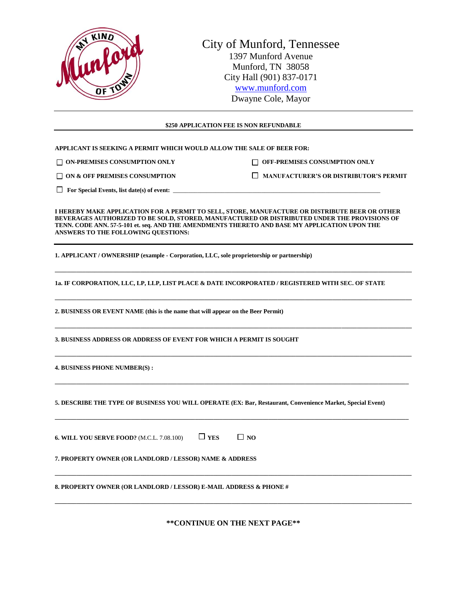

### **\$250 APPLICATION FEE IS NON REFUNDABLE**

**APPLICANT IS SEEKING A PERMIT WHICH WOULD ALLOW THE SALE OF BEER FOR:** 

□ ON-PREMISES CONSUMPTION ONLY □ OFF-PREMISES CONSUMPTION ONLY

□ ON & OFF PREMISES CONSUMPTION DESCRIPTION DESCRIPTION DESCRIPTION

 $\Box$  For Special Events, list date(s) of event:  $\Box$ 

**I HEREBY MAKE APPLICATION FOR A PERMIT TO SELL, STORE, MANUFACTURE OR DISTRIBUTE BEER OR OTHER BEVERAGES AUTHORIZED TO BE SOLD, STORED, MANUFACTURED OR DISTRIBUTED UNDER THE PROVISIONS OF TENN. CODE ANN. 57-5-101 et. seq. AND THE AMENDMENTS THERETO AND BASE MY APPLICATION UPON THE ANSWERS TO THE FOLLOWING QUESTIONS:**

**\_\_\_\_\_\_\_\_\_\_\_\_\_\_\_\_\_\_\_\_\_\_\_\_\_\_\_\_\_\_\_\_\_\_\_\_\_\_\_\_\_\_\_\_\_\_\_\_\_\_\_\_\_\_\_\_\_\_\_\_\_\_\_\_\_\_\_\_\_\_\_\_\_\_\_\_\_\_\_\_\_\_\_\_\_\_\_\_\_\_\_\_\_\_\_\_\_\_\_\_\_\_\_\_\_\_\_\_\_\_\_\_\_\_\_\_\_**

**\_\_\_\_\_\_\_\_\_\_\_\_\_\_\_\_\_\_\_\_\_\_\_\_\_\_\_\_\_\_\_\_\_\_\_\_\_\_\_\_\_\_\_\_\_\_\_\_\_\_\_\_\_\_\_\_\_\_\_\_\_\_\_\_\_\_\_\_\_\_\_\_\_\_\_\_\_\_\_\_\_\_\_\_\_\_\_\_\_\_\_\_\_\_\_\_\_\_\_\_\_\_\_\_\_\_\_\_\_\_\_\_\_\_\_\_\_**

**\_\_\_\_\_\_\_\_\_\_\_\_\_\_\_\_\_\_\_\_\_\_\_\_\_\_\_\_\_\_\_\_\_\_\_\_\_\_\_\_\_\_\_\_\_\_\_\_\_\_\_\_\_\_\_\_\_\_\_\_\_\_\_\_\_\_\_\_\_\_\_\_\_\_\_\_\_\_\_\_\_\_\_\_\_\_\_\_\_\_\_\_\_\_\_\_\_\_\_\_\_\_\_\_\_\_\_\_\_\_\_\_\_\_\_\_\_**

**\_\_\_\_\_\_\_\_\_\_\_\_\_\_\_\_\_\_\_\_\_\_\_\_\_\_\_\_\_\_\_\_\_\_\_\_\_\_\_\_\_\_\_\_\_\_\_\_\_\_\_\_\_\_\_\_\_\_\_\_\_\_\_\_\_\_\_\_\_\_\_\_\_\_\_\_\_\_\_\_\_\_\_\_\_\_\_\_\_\_\_\_\_\_\_\_\_\_\_\_\_\_\_\_\_\_\_\_\_\_\_\_\_\_\_\_\_**

**\_\_\_\_\_\_\_\_\_\_\_\_\_\_\_\_\_\_\_\_\_\_\_\_\_\_\_\_\_\_\_\_\_\_\_\_\_\_\_\_\_\_\_\_\_\_\_\_\_\_\_\_\_\_\_\_\_\_\_\_\_\_\_\_\_\_\_\_\_\_\_\_\_\_\_\_\_\_\_\_\_\_\_\_\_\_\_\_\_\_\_\_\_\_\_\_\_\_\_\_\_\_\_\_\_\_\_\_\_\_\_\_\_\_\_\_**

**\_\_\_\_\_\_\_\_\_\_\_\_\_\_\_\_\_\_\_\_\_\_\_\_\_\_\_\_\_\_\_\_\_\_\_\_\_\_\_\_\_\_\_\_\_\_\_\_\_\_\_\_\_\_\_\_\_\_\_\_\_\_\_\_\_\_\_\_\_\_\_\_\_\_\_\_\_\_\_\_\_\_\_\_\_\_\_\_\_\_\_\_\_\_\_\_\_\_\_\_\_\_\_\_\_\_\_\_\_\_\_\_\_\_\_\_**

**1. APPLICANT / OWNERSHIP (example - Corporation, LLC, sole proprietorship or partnership)**

**1a. IF CORPORATION, LLC, LP, LLP, LIST PLACE & DATE INCORPORATED / REGISTERED WITH SEC. OF STATE**

**2. BUSINESS OR EVENT NAME (this is the name that will appear on the Beer Permit)**

**3. BUSINESS ADDRESS OR ADDRESS OF EVENT FOR WHICH A PERMIT IS SOUGHT**

**4. BUSINESS PHONE NUMBER(S) :** 

**5. DESCRIBE THE TYPE OF BUSINESS YOU WILL OPERATE (EX: Bar, Restaurant, Convenience Market, Special Event)**

| <b>6. WILL YOU SERVE FOOD?</b> (M.C.L. 7.08.100) | $\Box$ YES | $\Box$ NO |
|--------------------------------------------------|------------|-----------|
|--------------------------------------------------|------------|-----------|

**7. PROPERTY OWNER (OR LANDLORD / LESSOR) NAME & ADDRESS**

**8. PROPERTY OWNER (OR LANDLORD / LESSOR) E-MAIL ADDRESS & PHONE #**

**\*\*CONTINUE ON THE NEXT PAGE\*\***

**\_\_\_\_\_\_\_\_\_\_\_\_\_\_\_\_\_\_\_\_\_\_\_\_\_\_\_\_\_\_\_\_\_\_\_\_\_\_\_\_\_\_\_\_\_\_\_\_\_\_\_\_\_\_\_\_\_\_\_\_\_\_\_\_\_\_\_\_\_\_\_\_\_\_\_\_\_\_\_\_\_\_\_\_\_\_\_\_\_\_\_\_\_\_\_\_\_\_\_\_\_\_\_\_\_\_\_\_\_\_\_\_\_\_\_\_\_**

**\_\_\_\_\_\_\_\_\_\_\_\_\_\_\_\_\_\_\_\_\_\_\_\_\_\_\_\_\_\_\_\_\_\_\_\_\_\_\_\_\_\_\_\_\_\_\_\_\_\_\_\_\_\_\_\_\_\_\_\_\_\_\_\_\_\_\_\_\_\_\_\_\_\_\_\_\_\_\_\_\_\_\_\_\_\_\_\_\_\_\_\_\_\_\_\_\_\_\_\_\_\_\_\_\_\_\_\_\_\_\_\_\_\_\_\_\_**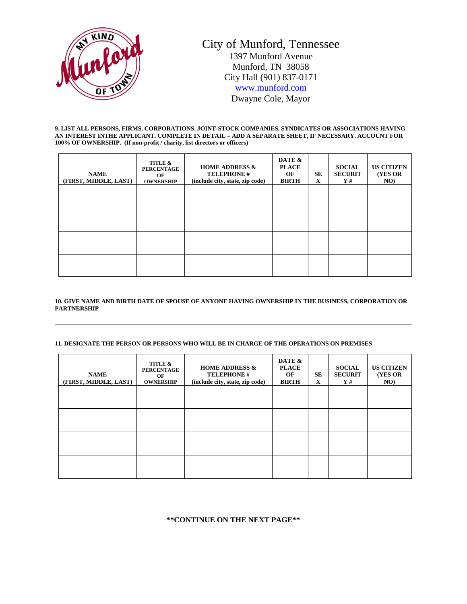

#### **9. LIST ALL PERSONS, FIRMS, CORPORATIONS, JOINT-STOCK COMPANIES, SYNDICATES OR ASSOCIATIONS HAVING AN INTEREST INTHE APPLICANT. COMPLETE IN DETAIL – ADD A SEPARATE SHEET, IF NECESSARY. ACCOUNT FOR 100% OF OWNERSHIP. (If non-profit / charity, list directors or officers)**

| <b>NAME</b><br>(FIRST, MIDDLE, LAST) | TITLE &<br><b>PERCENTAGE</b><br>OF<br><b>OWNERSHIP</b> | <b>HOME ADDRESS &amp;</b><br><b>TELEPHONE #</b><br>(include city, state, zip code) | DATE &<br><b>PLACE</b><br>OF<br><b>BIRTH</b> | <b>SE</b><br>X | <b>SOCIAL</b><br><b>SECURIT</b><br>Y# | <b>US CITIZEN</b><br><b>(YES OR</b><br>NO) |
|--------------------------------------|--------------------------------------------------------|------------------------------------------------------------------------------------|----------------------------------------------|----------------|---------------------------------------|--------------------------------------------|
|                                      |                                                        |                                                                                    |                                              |                |                                       |                                            |
|                                      |                                                        |                                                                                    |                                              |                |                                       |                                            |
|                                      |                                                        |                                                                                    |                                              |                |                                       |                                            |
|                                      |                                                        |                                                                                    |                                              |                |                                       |                                            |

### **10. GIVE NAME AND BIRTH DATE OF SPOUSE OF ANYONE HAVING OWNERSHIP IN THE BUSINESS, CORPORATION OR PARTNERSHIP**

**\_\_\_\_\_\_\_\_\_\_\_\_\_\_\_\_\_\_\_\_\_\_\_\_\_\_\_\_\_\_\_\_\_\_\_\_\_\_\_\_\_\_\_\_\_\_\_\_\_\_\_\_\_\_\_\_\_\_\_\_\_\_\_\_\_\_\_\_\_\_\_\_\_\_\_\_\_\_\_\_\_\_\_\_\_\_\_\_\_\_\_\_\_\_\_\_\_\_\_\_\_\_\_\_\_\_\_\_\_\_\_\_\_\_\_\_\_**

### **11. DESIGNATE THE PERSON OR PERSONS WHO WILL BE IN CHARGE OF THE OPERATIONS ON PREMISES**

| <b>NAME</b><br>(FIRST, MIDDLE, LAST) | TITLE &<br><b>PERCENTAGE</b><br>OF<br><b>OWNERSHIP</b> | <b>HOME ADDRESS &amp;</b><br><b>TELEPHONE #</b><br>(include city, state, zip code) | DATE &<br><b>PLACE</b><br>OF<br><b>BIRTH</b> | <b>SE</b><br>X | <b>SOCIAL</b><br><b>SECURIT</b><br>Y# | <b>US CITIZEN</b><br><b>(YES OR</b> )<br>NO) |
|--------------------------------------|--------------------------------------------------------|------------------------------------------------------------------------------------|----------------------------------------------|----------------|---------------------------------------|----------------------------------------------|
|                                      |                                                        |                                                                                    |                                              |                |                                       |                                              |
|                                      |                                                        |                                                                                    |                                              |                |                                       |                                              |
|                                      |                                                        |                                                                                    |                                              |                |                                       |                                              |
|                                      |                                                        |                                                                                    |                                              |                |                                       |                                              |

# **\*\*CONTINUE ON THE NEXT PAGE\*\***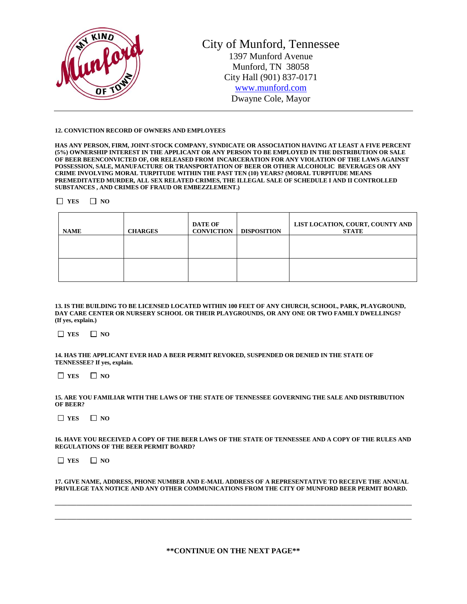

City of Munford, Tennessee 1397 Munford Avenue Munford, TN 38058 City Hall (901) 837-0171 [www.munford.com](http://www.munford.com/) Dwayne Cole, Mayor

#### **12. CONVICTION RECORD OF OWNERS AND EMPLOYEES**

**HAS ANY PERSON, FIRM, JOINT-STOCK COMPANY, SYNDICATE OR ASSOCIATION HAVING AT LEAST A FIVE PERCENT (5%) OWNERSHIP INTEREST IN THE APPLICANT OR ANY PERSON TO BE EMPLOYED IN THE DISTRIBUTION OR SALE OF BEER BEENCONVICTED OF, OR RELEASED FROM INCARCERATION FOR ANY VIOLATION OF THE LAWS AGAINST POSSESSION, SALE, MANUFACTURE OR TRANSPORTATION OF BEER OR OTHER ALCOHOLIC BEVERAGES OR ANY CRIME INVOLVING MORAL TURPITUDE WITHIN THE PAST TEN (10) YEARS? (MORAL TURPITUDE MEANS PREMEDITATED MURDER, ALL SEX RELATED CRIMES, THE ILLEGAL SALE OF SCHEDULE I AND II CONTROLLED SUBSTANCES , AND CRIMES OF FRAUD OR EMBEZZLEMENT.)**

**YES NO** 

| <b>NAME</b> | <b>CHARGES</b> | <b>DATE OF</b><br><b>CONVICTION</b> | <b>DISPOSITION</b> | LIST LOCATION, COURT, COUNTY AND<br><b>STATE</b> |
|-------------|----------------|-------------------------------------|--------------------|--------------------------------------------------|
|             |                |                                     |                    |                                                  |
|             |                |                                     |                    |                                                  |

**13. IS THE BUILDING TO BE LICENSED LOCATED WITHIN 100 FEET OF ANY CHURCH, SCHOOL, PARK, PLAYGROUND, DAY CARE CENTER OR NURSERY SCHOOL OR THEIR PLAYGROUNDS, OR ANY ONE OR TWO FAMILY DWELLINGS? (If yes, explain.)**

**T** YES **NO** 

**14. HAS THE APPLICANT EVER HAD A BEER PERMIT REVOKED, SUSPENDED OR DENIED IN THE STATE OF TENNESSEE? If yes, explain.**

 $\Box$  YES  $\Box$  NO

| 15. ARE YOU FAMILIAR WITH THE LAWS OF THE STATE OF TENNESSEE GOVERNING THE SALE AND DISTRIBUTION |  |
|--------------------------------------------------------------------------------------------------|--|
| OF BEER?                                                                                         |  |

 $\Box$  YES  $\Box$  NO

**16. HAVE YOU RECEIVED A COPY OF THE BEER LAWS OF THE STATE OF TENNESSEE AND A COPY OF THE RULES AND REGULATIONS OF THE BEER PERMIT BOARD?**

**T** YES **NO** 

**17. GIVE NAME, ADDRESS, PHONE NUMBER AND E-MAIL ADDRESS OF A REPRESENTATIVE TO RECEIVE THE ANNUAL PRIVILEGE TAX NOTICE AND ANY OTHER COMMUNICATIONS FROM THE CITY OF MUNFORD BEER PERMIT BOARD.**

**\_\_\_\_\_\_\_\_\_\_\_\_\_\_\_\_\_\_\_\_\_\_\_\_\_\_\_\_\_\_\_\_\_\_\_\_\_\_\_\_\_\_\_\_\_\_\_\_\_\_\_\_\_\_\_\_\_\_\_\_\_\_\_\_\_\_\_\_\_\_\_\_\_\_\_\_\_\_\_\_\_\_\_\_\_\_\_\_\_\_\_\_\_\_\_\_\_\_\_\_\_\_\_\_\_\_\_\_\_\_\_\_\_\_\_\_\_ \_\_\_\_\_\_\_\_\_\_\_\_\_\_\_\_\_\_\_\_\_\_\_\_\_\_\_\_\_\_\_\_\_\_\_\_\_\_\_\_\_\_\_\_\_\_\_\_\_\_\_\_\_\_\_\_\_\_\_\_\_\_\_\_\_\_\_\_\_\_\_\_\_\_\_\_\_\_\_\_\_\_\_\_\_\_\_\_\_\_\_\_\_\_\_\_\_\_\_\_\_\_\_\_\_\_\_\_\_\_\_\_\_\_\_\_\_**

**\*\*CONTINUE ON THE NEXT PAGE\*\***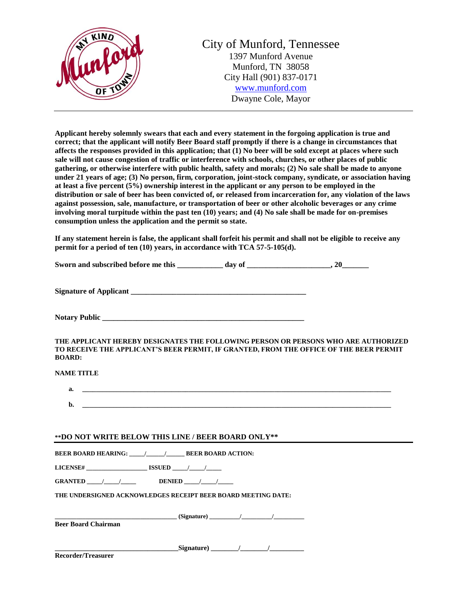

**Applicant hereby solemnly swears that each and every statement in the forgoing application is true and correct; that the applicant will notify Beer Board staff promptly if there is a change in circumstances that affects the responses provided in this application; that (1) No beer will be sold except at places where such sale will not cause congestion of traffic or interference with schools, churches, or other places of public gathering, or otherwise interfere with public health, safety and morals; (2) No sale shall be made to anyone under 21 years of age; (3) No person, firm, corporation, joint-stock company, syndicate, or association having at least a five percent (5%) ownership interest in the applicant or any person to be employed in the distribution or sale of beer has been convicted of, or released from incarceration for, any violation of the laws against possession, sale, manufacture, or transportation of beer or other alcoholic beverages or any crime involving moral turpitude within the past ten (10) years; and (4) No sale shall be made for on-premises consumption unless the application and the permit so state.**

**If any statement herein is false, the applicant shall forfeit his permit and shall not be eligible to receive any permit for a period of ten (10) years, in accordance with TCA 57-5-105(d).**

Sworn and subscribed before me this \_\_\_\_\_\_\_\_\_\_\_ day of \_\_\_\_\_\_\_\_\_\_\_\_\_\_\_\_, 20\_\_\_\_\_\_\_

**Signature of Applicant** 

Notary Public **Executive 2008** 

**THE APPLICANT HEREBY DESIGNATES THE FOLLOWING PERSON OR PERSONS WHO ARE AUTHORIZED TO RECEIVE THE APPLICANT'S BEER PERMIT, IF GRANTED, FROM THE OFFICE OF THE BEER PERMIT BOARD:**

## **NAME TITLE**

| a. | the contract of the contract of the contract of the contract of the contract of the contract of the contract of |  |
|----|-----------------------------------------------------------------------------------------------------------------|--|
|    |                                                                                                                 |  |
| b. |                                                                                                                 |  |

### **\*\*DO NOT WRITE BELOW THIS LINE / BEER BOARD ONLY\*\***

**BEER BOARD HEARING: \_\_\_\_\_/\_\_\_\_\_\_/\_\_\_\_\_\_ BEER BOARD ACTION:**

**LICENSE# \_\_\_\_\_\_\_\_\_\_\_\_\_\_\_\_\_\_\_\_ ISSUED \_\_\_\_\_/\_\_\_\_\_/\_\_\_\_\_** 

**GRANTED** \_\_\_\_\_/ \_\_\_\_\_\_/ DENIED \_\_\_\_/ \_\_\_\_\_\_

**THE UNDERSIGNED ACKNOWLEDGES RECEIPT BEER BOARD MEETING DATE:**

**\_\_\_\_\_\_\_\_\_\_\_\_\_\_\_\_\_\_\_\_\_\_\_\_\_\_\_\_\_\_\_\_\_\_\_\_\_\_\_\_ (Signature) \_\_\_\_\_\_\_\_\_\_/\_\_\_\_\_\_\_\_\_\_/\_\_\_\_\_\_\_\_\_\_ Beer Board Chairman**

**\_\_\_\_\_\_\_\_\_\_\_\_\_\_\_\_\_\_\_\_\_\_\_\_\_\_\_\_\_\_\_\_\_\_\_\_Signature) \_\_\_\_\_\_\_\_/\_\_\_\_\_\_\_\_/\_\_\_\_\_\_\_\_\_\_**

**Recorder/Treasurer**